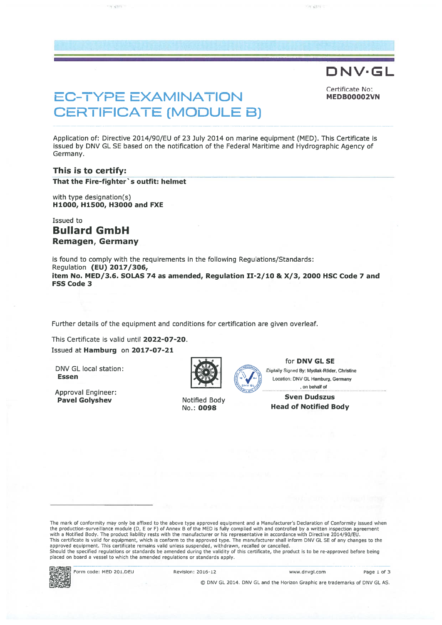# DNV·GL

Certificate No:

# EC-TYPE EXAMINATION MEDBOOOO2VN CERTIFICATE (MODULE B)

Application of: Directive 2014/90/EU of 23 July 2014 on marine equipment (MED). This Certificate is issued by DNV GL SE based on the notification of the Federal Maritime and Hydrographic Agency of Germany.

## This is to certify:

That the Fire-fighter's outfit: helmet

with type designation(s) H1000, H1500, H3000 and FXE

Issued to Bullard GmbH Remagen, Germany

is found to comply with the requirements in the following Regulations/Standards: Regulation (EU) 2017/306, item No. MED/3.6. SOLAS 74 as amended, Regulation 11-2/10 & X/3, 2000 HSC Code 7 and FSS Code 3

Further details of the equipment and conditions for certification are given overleaf.

This Certificate is valid until 2022-07-20. Issued at Hamburg on 2017-07-21

DNV GL local station :<br> **Essen** Mycle Hamburg Germany<br> **Essen** Localing DNV GL Hamburg Germany

Approval Engineer:



for DNV GL SE

Location: DNV GL Hamburg, Germany . on behalf of

Pavel Golyshev Motified Body **Sven Dudszus** No.: 0098 Head of Notified Body

The mark of conformity may only be affixed to the above type approved equipment and <sup>a</sup> Manufacturer's Deciaration of Conformity issued when the production-surveillance module (D, E or F) of Annex B of the MED is fully complied with and controlled by a written inspection agreement<br>with a Notified Body. The product liability rests with the manufacturer or his re approved equipment. This certificate remains valid unless suspended, withdrawn, recalled or cancelled. Should the specified regulations or standards be amended during the validity of this certificate, the product is to be re-approved before being placed on board <sup>a</sup> vessel to which the amended regulations or standards apply.



Form code: MED 201.DEU Revision: 2016-12 www.dnvgi.com Page 1 of 3

© DNV GL 2014. DNV GL and the Horizon Graphic are trademarks of DNV GLAS.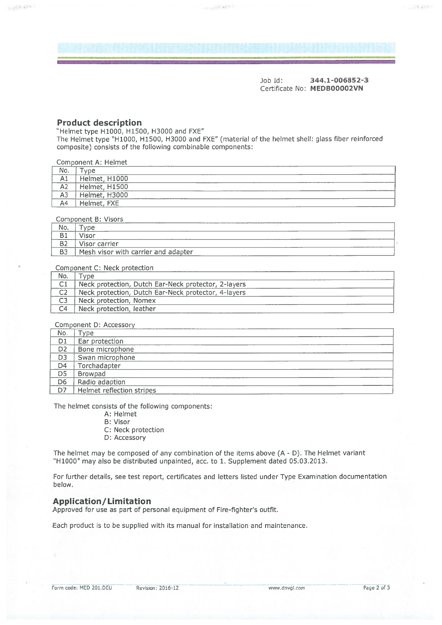Job Id: 344.1-006852-3 Certificate No: MEDB00002VN

28,4979

#### **Product description**

 $\sim 2.3\ \mathrm{km}$ 

"Helmet type H1000, H1500, H3000 and FXE" The Helmet type "H1000, H1500, H3000 and FXE" (material of the helmet shell: glass fiber teinforced composite) consists of the following combinable components:

| Component A: Helmet |               |  |  |  |
|---------------------|---------------|--|--|--|
| No.                 | <b>vne</b>    |  |  |  |
| A1                  | Helmet, H1000 |  |  |  |
| A2                  | Helmet, H1500 |  |  |  |
| A3                  | Helmet, H3000 |  |  |  |
| A4                  | Helmet, FXE   |  |  |  |
|                     |               |  |  |  |

Component B: Visors

| No.       | -<br>$\sqrt{2}$                     |
|-----------|-------------------------------------|
| د ب       | zienni                              |
| ▫         | <i><b>Visor carrier</b></i>         |
| <b>B3</b> | Mesh visor with carrier and adapter |

Component C: Neck protection

| No.            | vne                                                 |
|----------------|-----------------------------------------------------|
| C1             | Neck protection, Dutch Ear-Neck protector, 2-layers |
| C <sub>2</sub> | Neck protection, Dutch Ear-Neck protector, 4-layers |
| C3             | Neck protection, Nomex                              |
| C4             | Neck protection, leather                            |

Component D: Accessory

| No.            | 'vne                      |
|----------------|---------------------------|
| D1             | Ear protection            |
| D <sub>2</sub> | Bone microphone           |
| D <sub>3</sub> | Swan microphone           |
| D4             | Torchadapter              |
| D <sub>5</sub> | Browpad                   |
| D <sub>6</sub> | Radio adaption            |
| D7             | Helmet reflection stripes |

The helmet consists of the following components:

- A: Helmet
- B: Visor
- C: Neck protection
- D: Accessory

The helmet may be composed of any combination of the items above  $(A - D)$ . The Helmet variant "Hl000" may also be distributed unpainted, acc. to 1. Supplement dated 05.03.2013.

For further details, see test report, certificates and letters listed under Type Examination documentation below.

#### Application/ Limitation

Approved for use as par<sup>t</sup> of personal equipment of Fire-fighter's outfit.

Fach product is to be supplied with ts manual for installation and maintenance.